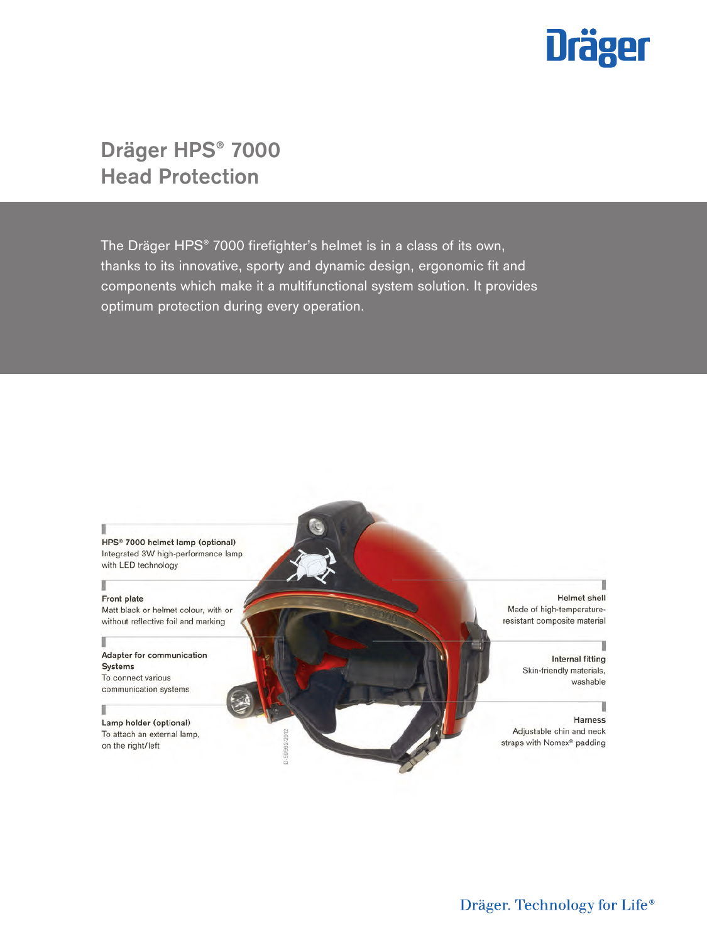

# **Dräger HPS® 7000 Head Protection**

The Dräger HPS® 7000 firefighter's helmet is in a class of its own, thanks to its innovative, sporty and dynamic design, ergonomic fit and components which make it a multifunctional system solution. It provides optimum protection during every operation.

D-59562-2012



### Front plate

Matt black or helmet colour, with or without reflective foil and marking

### Adapter for communication Systems To connect various communication systems

İ

Lamp holder (optional) To attach an external lamp, on the right/left

**Helmet** shell Made of high-temperatureresistant composite material

Internal fitting Skin-friendly materials, washable

Harness Adjustable chin and neck straps with Nomex® padding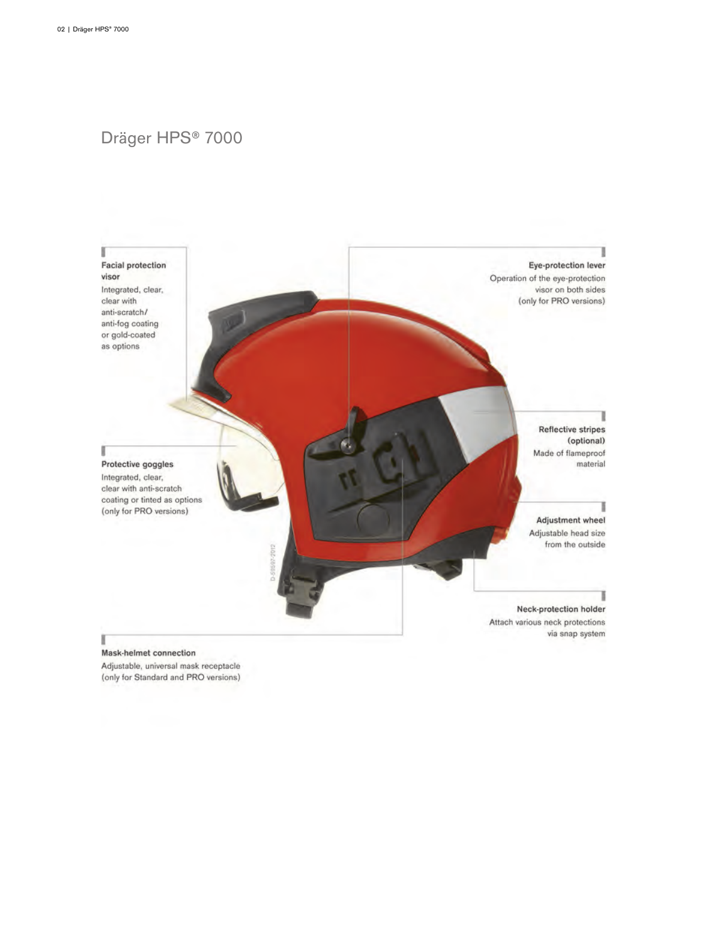# Dräger HPS® 7000



### Mask-helmet connection

Adjustable, universal mask receptacle (only for Standard and PRO versions)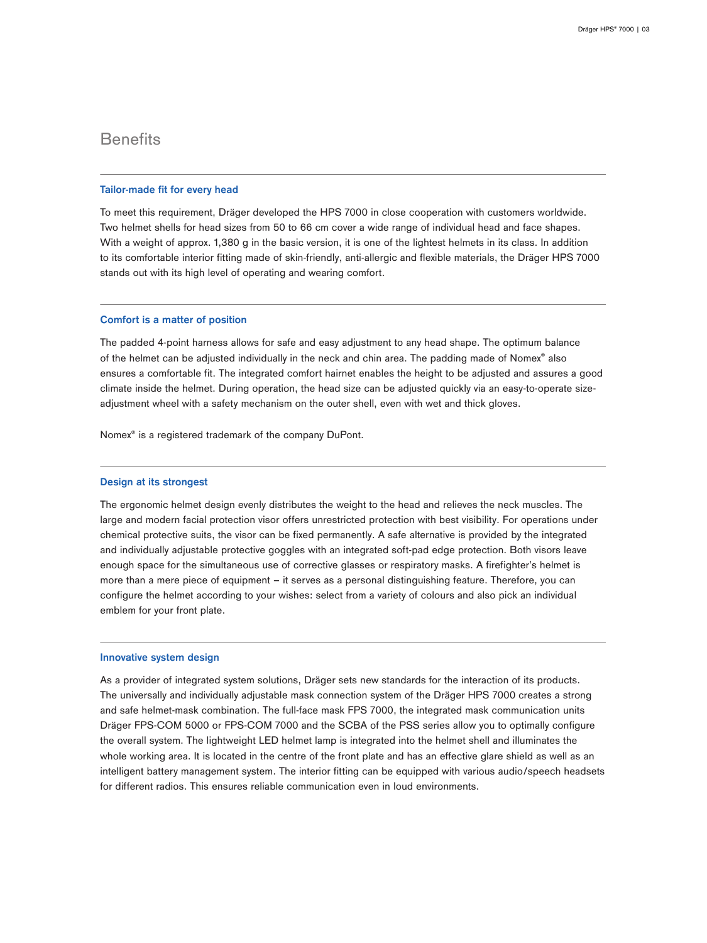### **Benefits**

### **Tailor-made fit for every head**

To meet this requirement, Dräger developed the HPS 7000 in close cooperation with customers worldwide. Two helmet shells for head sizes from 50 to 66 cm cover a wide range of individual head and face shapes. With a weight of approx. 1,380 g in the basic version, it is one of the lightest helmets in its class. In addition to its comfortable interior fitting made of skin-friendly, anti-allergic and flexible materials, the Dräger HPS 7000 stands out with its high level of operating and wearing comfort.

### **Comfort is a matter of position**

The padded 4-point harness allows for safe and easy adjustment to any head shape. The optimum balance of the helmet can be adjusted individually in the neck and chin area. The padding made of Nomex® also ensures a comfortable fit. The integrated comfort hairnet enables the height to be adjusted and assures a good climate inside the helmet. During operation, the head size can be adjusted quickly via an easy-to-operate sizeadjustment wheel with a safety mechanism on the outer shell, even with wet and thick gloves.

Nomex® is a registered trademark of the company DuPont.

### **Design at its strongest**

The ergonomic helmet design evenly distributes the weight to the head and relieves the neck muscles. The large and modern facial protection visor offers unrestricted protection with best visibility. For operations under chemical protective suits, the visor can be fixed permanently. A safe alternative is provided by the integrated and individually adjustable protective goggles with an integrated soft-pad edge protection. Both visors leave enough space for the simultaneous use of corrective glasses or respiratory masks. A firefighter's helmet is more than a mere piece of equipment – it serves as a personal distinguishing feature. Therefore, you can configure the helmet according to your wishes: select from a variety of colours and also pick an individual emblem for your front plate.

### **Innovative system design**

As a provider of integrated system solutions, Dräger sets new standards for the interaction of its products. The universally and individually adjustable mask connection system of the Dräger HPS 7000 creates a strong and safe helmet-mask combination. The full-face mask FPS 7000, the integrated mask communication units Dräger FPS-COM 5000 or FPS-COM 7000 and the SCBA of the PSS series allow you to optimally configure the overall system. The lightweight LED helmet lamp is integrated into the helmet shell and illuminates the whole working area. It is located in the centre of the front plate and has an effective glare shield as well as an intelligent battery management system. The interior fitting can be equipped with various audio/speech headsets for different radios. This ensures reliable communication even in loud environments.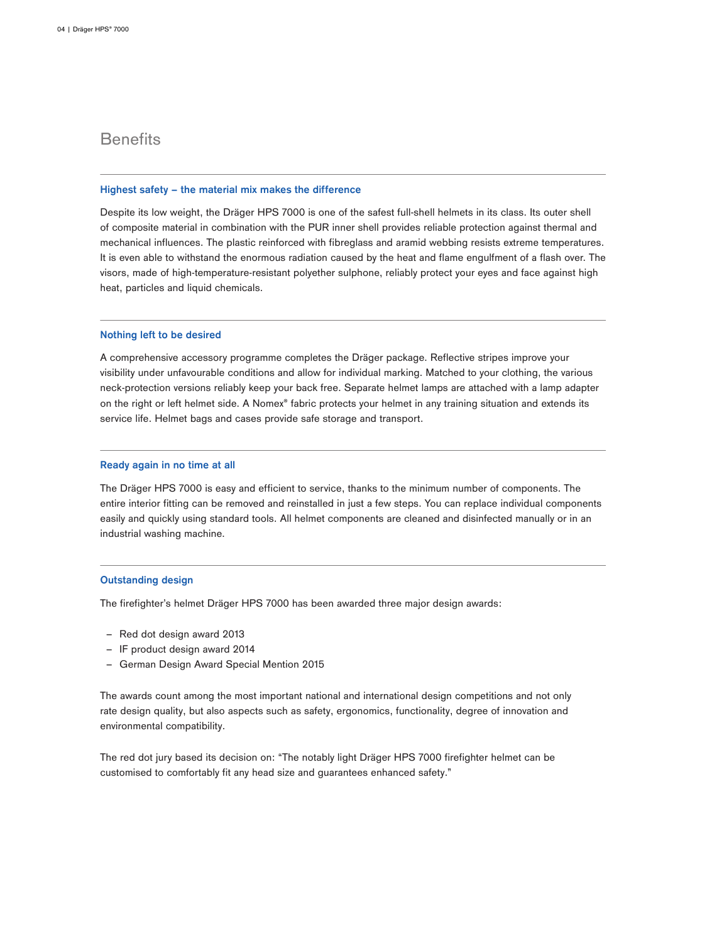## **Benefits**

### **Highest safety – the material mix makes the difference**

Despite its low weight, the Dräger HPS 7000 is one of the safest full-shell helmets in its class. Its outer shell of composite material in combination with the PUR inner shell provides reliable protection against thermal and mechanical influences. The plastic reinforced with fibreglass and aramid webbing resists extreme temperatures. It is even able to withstand the enormous radiation caused by the heat and flame engulfment of a flash over. The visors, made of high-temperature-resistant polyether sulphone, reliably protect your eyes and face against high heat, particles and liquid chemicals.

### **Nothing left to be desired**

A comprehensive accessory programme completes the Dräger package. Reflective stripes improve your visibility under unfavourable conditions and allow for individual marking. Matched to your clothing, the various neck-protection versions reliably keep your back free. Separate helmet lamps are attached with a lamp adapter on the right or left helmet side. A Nomex® fabric protects your helmet in any training situation and extends its service life. Helmet bags and cases provide safe storage and transport.

### **Ready again in no time at all**

The Dräger HPS 7000 is easy and efficient to service, thanks to the minimum number of components. The entire interior fitting can be removed and reinstalled in just a few steps. You can replace individual components easily and quickly using standard tools. All helmet components are cleaned and disinfected manually or in an industrial washing machine.

### **Outstanding design**

The firefighter's helmet Dräger HPS 7000 has been awarded three major design awards:

- Red dot design award 2013
- IF product design award 2014
- German Design Award Special Mention 2015

The awards count among the most important national and international design competitions and not only rate design quality, but also aspects such as safety, ergonomics, functionality, degree of innovation and environmental compatibility.

The red dot jury based its decision on: "The notably light Dräger HPS 7000 firefighter helmet can be customised to comfortably fit any head size and guarantees enhanced safety."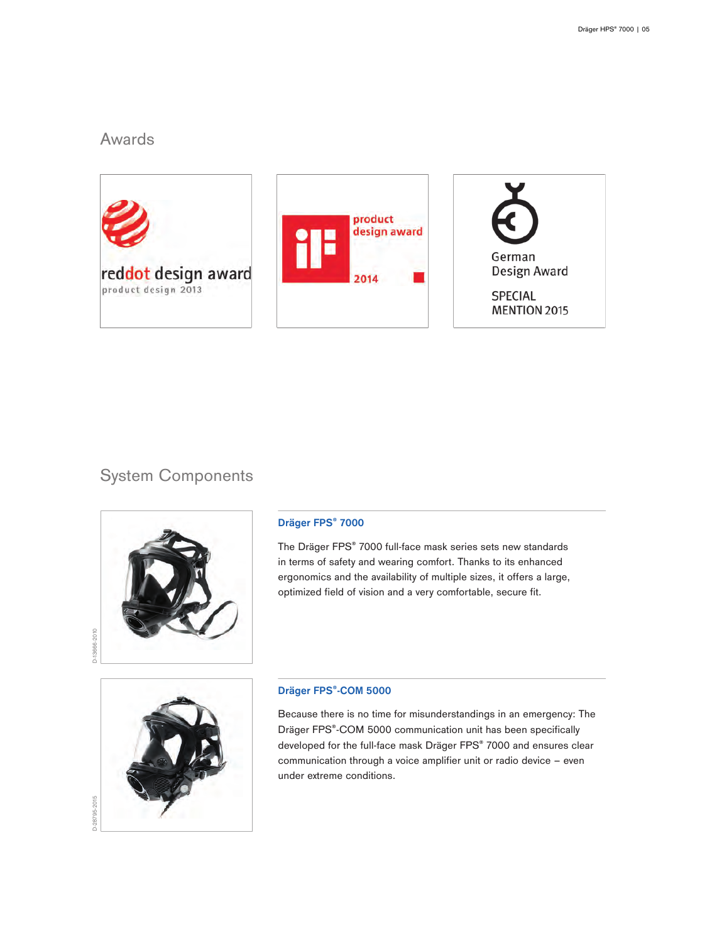# Awards







# System Components



### **Dräger FPS® 7000**

The Dräger FPS® 7000 full-face mask series sets new standards in terms of safety and wearing comfort. Thanks to its enhanced ergonomics and the availability of multiple sizes, it offers a large, optimized field of vision and a very comfortable, secure fit.



### **Dräger FPS®-COM 5000**

Because there is no time for misunderstandings in an emergency: The Dräger FPS®-COM 5000 communication unit has been specifically developed for the full-face mask Dräger FPS® 7000 and ensures clear communication through a voice amplifier unit or radio device – even under extreme conditions.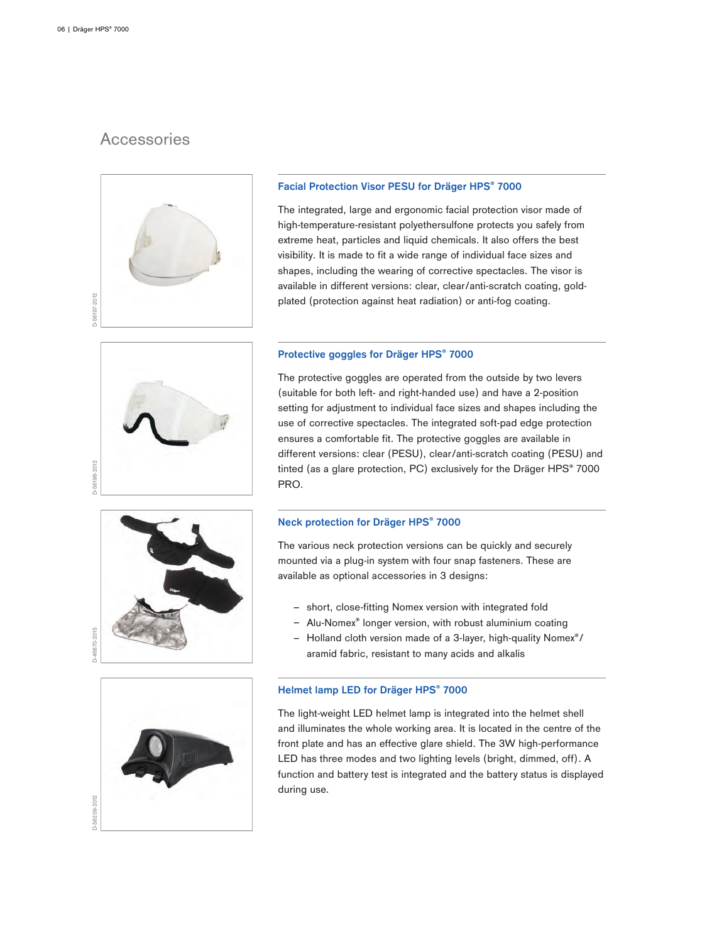# **Accessories**



### **Facial Protection Visor PESU for Dräger HPS® 7000**

The integrated, large and ergonomic facial protection visor made of high-temperature-resistant polyethersulfone protects you safely from extreme heat, particles and liquid chemicals. It also offers the best visibility. It is made to fit a wide range of individual face sizes and shapes, including the wearing of corrective spectacles. The visor is available in different versions: clear, clear/anti-scratch coating, goldplated (protection against heat radiation) or anti-fog coating.

# D-56198-2012

### **Protective goggles for Dräger HPS® 7000**

The protective goggles are operated from the outside by two levers (suitable for both left- and right-handed use) and have a 2-position setting for adjustment to individual face sizes and shapes including the use of corrective spectacles. The integrated soft-pad edge protection ensures a comfortable fit. The protective goggles are available in different versions: clear (PESU), clear/anti-scratch coating (PESU) and tinted (as a glare protection, PC) exclusively for the Dräger HPS® 7000 PRO.

### **Neck protection for Dräger HPS® 7000**

The various neck protection versions can be quickly and securely mounted via a plug-in system with four snap fasteners. These are available as optional accessories in 3 designs:

- short, close-fitting Nomex version with integrated fold
- Alu-Nomex<sup>®</sup> longer version, with robust aluminium coating
- ‒ Holland cloth version made of a 3-layer, high-quality Nomex®/ aramid fabric, resistant to many acids and alkalis

### **Helmet lamp LED for Dräger HPS® 7000**

The light-weight LED helmet lamp is integrated into the helmet shell and illuminates the whole working area. It is located in the centre of the front plate and has an effective glare shield. The 3W high-performance LED has three modes and two lighting levels (bright, dimmed, off). A function and battery test is integrated and the battery status is displayed during use.



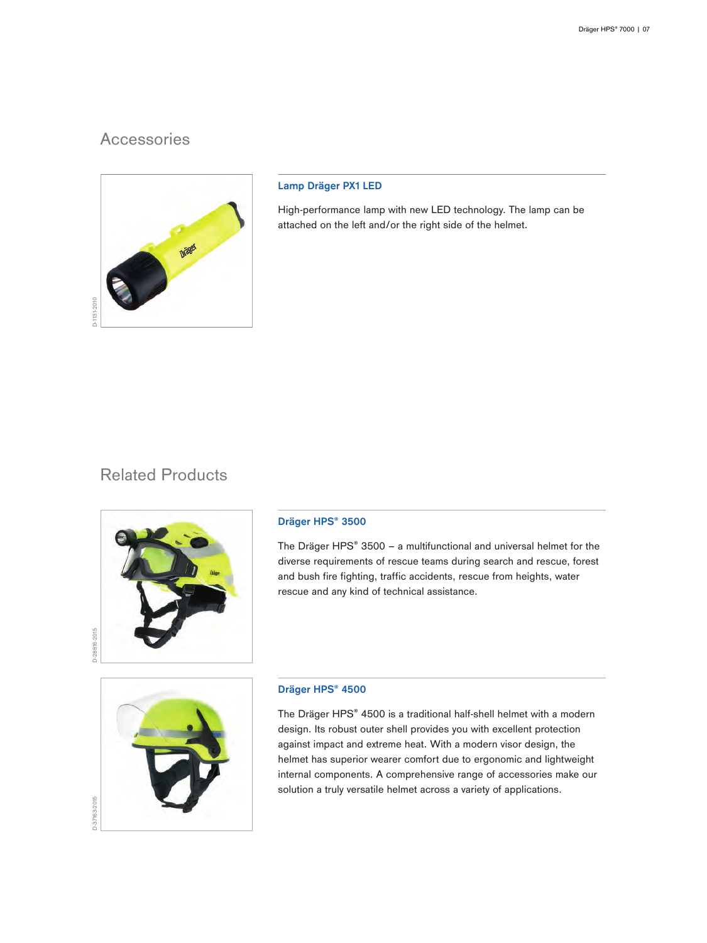# **Accessories**



### **Lamp Dräger PX1 LED**

High-performance lamp with new LED technology. The lamp can be attached on the left and/or the right side of the helmet.

# Related Products



### **Dräger HPS® 3500**

The Dräger HPS® 3500 – a multifunctional and universal helmet for the diverse requirements of rescue teams during search and rescue, forest and bush fire fighting, traffic accidents, rescue from heights, water rescue and any kind of technical assistance.



### **Dräger HPS® 4500**

The Dräger HPS® 4500 is a traditional half-shell helmet with a modern design. Its robust outer shell provides you with excellent protection against impact and extreme heat. With a modern visor design, the helmet has superior wearer comfort due to ergonomic and lightweight internal components. A comprehensive range of accessories make our solution a truly versatile helmet across a variety of applications.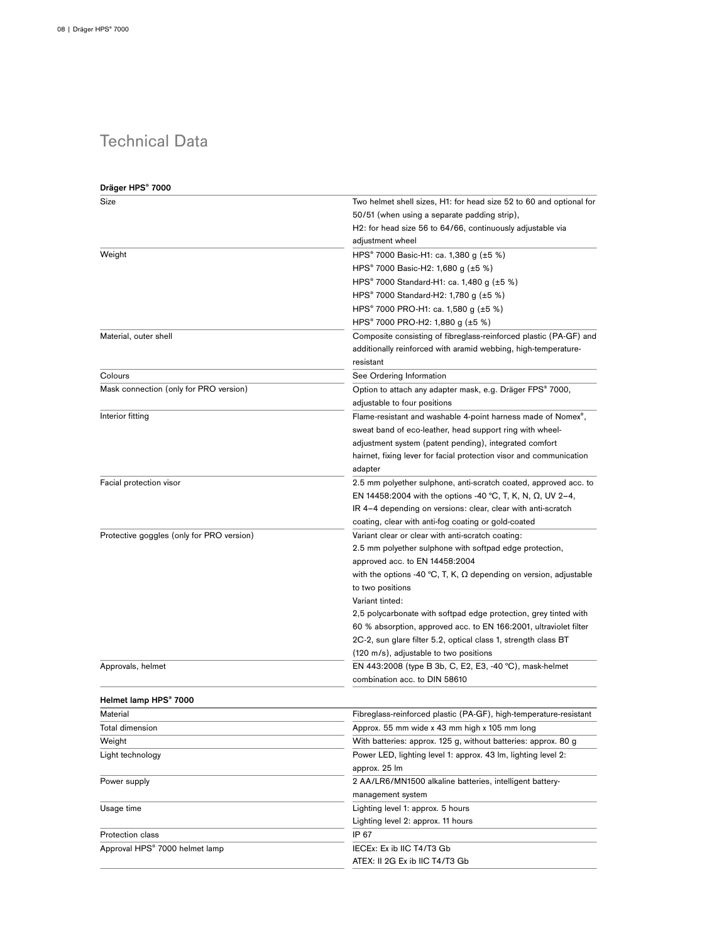# Technical Data

| Dräger HPS® 7000                          |                                                                                                                     |  |
|-------------------------------------------|---------------------------------------------------------------------------------------------------------------------|--|
| Size                                      | Two helmet shell sizes, H1: for head size 52 to 60 and optional for<br>50/51 (when using a separate padding strip), |  |
|                                           | H2: for head size 56 to 64/66, continuously adjustable via                                                          |  |
|                                           | adjustment wheel                                                                                                    |  |
| Weight                                    | HPS <sup>®</sup> 7000 Basic-H1: ca. 1,380 g (±5 %)                                                                  |  |
|                                           | HPS <sup>®</sup> 7000 Basic-H2: 1,680 g (±5 %)                                                                      |  |
|                                           | HPS <sup>®</sup> 7000 Standard-H1: ca. 1,480 g (±5 %)                                                               |  |
|                                           | HPS® 7000 Standard-H2: 1,780 g (±5 %)                                                                               |  |
|                                           | HPS <sup>®</sup> 7000 PRO-H1: ca. 1,580 g (±5 %)                                                                    |  |
|                                           | HPS® 7000 PRO-H2: 1,880 g (±5 %)                                                                                    |  |
| Material, outer shell                     | Composite consisting of fibreglass-reinforced plastic (PA-GF) and                                                   |  |
|                                           | additionally reinforced with aramid webbing, high-temperature-                                                      |  |
|                                           | resistant                                                                                                           |  |
| Colours                                   | See Ordering Information                                                                                            |  |
| Mask connection (only for PRO version)    | Option to attach any adapter mask, e.g. Dräger FPS® 7000,                                                           |  |
|                                           | adjustable to four positions                                                                                        |  |
| Interior fitting                          | Flame-resistant and washable 4-point harness made of Nomex <sup>®</sup> ,                                           |  |
|                                           | sweat band of eco-leather, head support ring with wheel-                                                            |  |
|                                           | adjustment system (patent pending), integrated comfort                                                              |  |
|                                           | hairnet, fixing lever for facial protection visor and communication                                                 |  |
|                                           | adapter                                                                                                             |  |
| Facial protection visor                   | 2.5 mm polyether sulphone, anti-scratch coated, approved acc. to                                                    |  |
|                                           | EN 14458:2004 with the options -40 °C, T, K, N, $\Omega$ , UV 2-4,                                                  |  |
|                                           | IR 4-4 depending on versions: clear, clear with anti-scratch                                                        |  |
|                                           | coating, clear with anti-fog coating or gold-coated                                                                 |  |
| Protective goggles (only for PRO version) | Variant clear or clear with anti-scratch coating:                                                                   |  |
|                                           | 2.5 mm polyether sulphone with softpad edge protection,                                                             |  |
|                                           | approved acc. to EN 14458:2004                                                                                      |  |
|                                           | with the options -40 °C, T, K, $\Omega$ depending on version, adjustable                                            |  |
|                                           | to two positions                                                                                                    |  |
|                                           | Variant tinted:                                                                                                     |  |
|                                           | 2,5 polycarbonate with softpad edge protection, grey tinted with                                                    |  |
|                                           | 60 % absorption, approved acc. to EN 166:2001, ultraviolet filter                                                   |  |
|                                           | 2C-2, sun glare filter 5.2, optical class 1, strength class BT                                                      |  |
|                                           | (120 m/s), adjustable to two positions                                                                              |  |
| Approvals, helmet                         | EN 443:2008 (type B 3b, C, E2, E3, -40 °C), mask-helmet                                                             |  |
|                                           | combination acc. to DIN 58610                                                                                       |  |
|                                           |                                                                                                                     |  |
| Helmet lamp HPS® 7000                     |                                                                                                                     |  |
| Material                                  | Fibreglass-reinforced plastic (PA-GF), high-temperature-resistant                                                   |  |
| Total dimension                           | Approx. 55 mm wide x 43 mm high x 105 mm long                                                                       |  |
| Weight                                    | With batteries: approx. 125 g, without batteries: approx. 80 g                                                      |  |
| Light technology                          | Power LED, lighting level 1: approx. 43 lm, lighting level 2:                                                       |  |
|                                           | approx. 25 lm                                                                                                       |  |
| Power supply                              | 2 AA/LR6/MN1500 alkaline batteries, intelligent battery-                                                            |  |
|                                           | management system                                                                                                   |  |
| Usage time                                | Lighting level 1: approx. 5 hours                                                                                   |  |
|                                           | Lighting level 2: approx. 11 hours                                                                                  |  |
| Protection class                          | IP 67                                                                                                               |  |
| Approval HPS® 7000 helmet lamp            | IECEx: Ex ib IIC T4/T3 Gb                                                                                           |  |
|                                           | ATEX: II 2G Ex ib IIC T4/T3 Gb                                                                                      |  |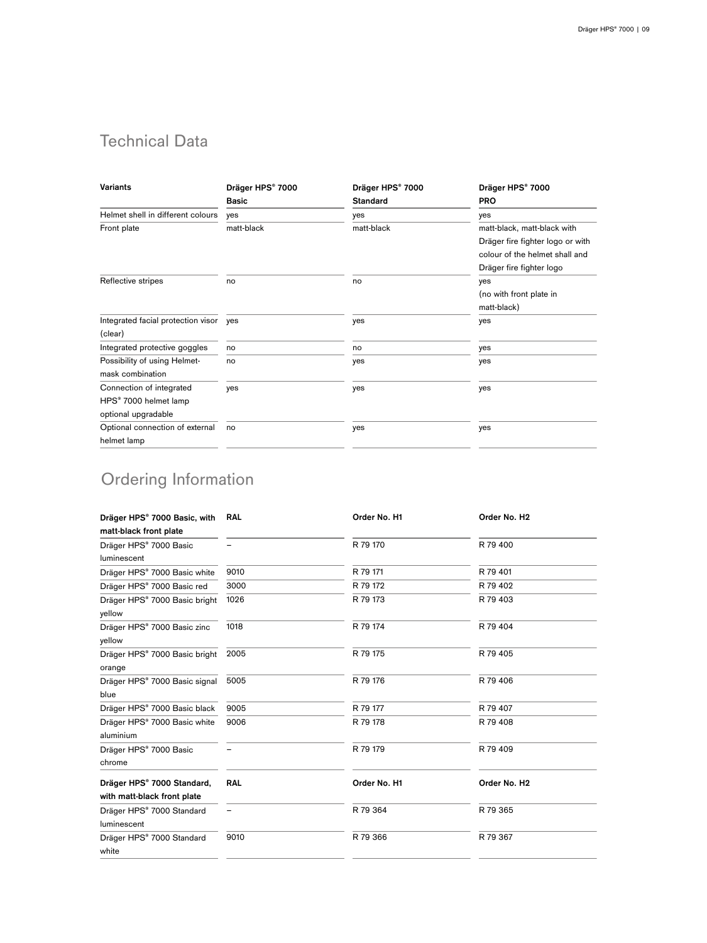# Technical Data

| <b>Variants</b>                    | Dräger HPS® 7000 | Dräger HPS® 7000 | Dräger HPS® 7000                 |
|------------------------------------|------------------|------------------|----------------------------------|
|                                    | <b>Basic</b>     | <b>Standard</b>  | <b>PRO</b>                       |
| Helmet shell in different colours  | yes              | yes              | yes                              |
| Front plate                        | matt-black       | matt-black       | matt-black, matt-black with      |
|                                    |                  |                  | Dräger fire fighter logo or with |
|                                    |                  |                  | colour of the helmet shall and   |
|                                    |                  |                  | Dräger fire fighter logo         |
| Reflective stripes                 | no               | no               | yes                              |
|                                    |                  |                  | (no with front plate in          |
|                                    |                  |                  | matt-black)                      |
| Integrated facial protection visor | yes              | yes              | yes                              |
| (clear)                            |                  |                  |                                  |
| Integrated protective goggles      | no               | no               | yes                              |
| Possibility of using Helmet-       | no               | yes              | yes                              |
| mask combination                   |                  |                  |                                  |
| Connection of integrated           | yes              | yes              | yes                              |
| HPS® 7000 helmet lamp              |                  |                  |                                  |
| optional upgradable                |                  |                  |                                  |
| Optional connection of external    | no               | yes              | yes                              |
| helmet lamp                        |                  |                  |                                  |

# Ordering Information

| Dräger HPS® 7000 Basic, with<br>matt-black front plate | <b>RAL</b> | Order No. H1 | Order No. H <sub>2</sub> |
|--------------------------------------------------------|------------|--------------|--------------------------|
| Dräger HPS® 7000 Basic<br>luminescent                  |            | R 79 170     | R 79 400                 |
| Dräger HPS® 7000 Basic white                           | 9010       | R 79 171     | R 79 401                 |
| Dräger HPS® 7000 Basic red                             | 3000       | R 79 172     | R 79 402                 |
| Dräger HPS® 7000 Basic bright<br>yellow                | 1026       | R 79 173     | R 79 403                 |
| Dräger HPS® 7000 Basic zinc<br>yellow                  | 1018       | R 79 174     | R 79 404                 |
| Dräger HPS® 7000 Basic bright<br>orange                | 2005       | R 79 175     | R 79 405                 |
| Dräger HPS® 7000 Basic signal<br>blue                  | 5005       | R 79 176     | R 79 406                 |
| Dräger HPS® 7000 Basic black                           | 9005       | R 79 177     | R 79 407                 |
| Dräger HPS® 7000 Basic white<br>aluminium              | 9006       | R 79 178     | R 79 408                 |
| Dräger HPS® 7000 Basic<br>chrome                       |            | R 79 179     | R 79 409                 |
| Dräger HPS® 7000 Standard,                             | <b>RAL</b> | Order No. H1 | Order No. H <sub>2</sub> |
| with matt-black front plate                            |            |              |                          |
| Dräger HPS® 7000 Standard<br>luminescent               |            | R 79 364     | R 79 365                 |
| Dräger HPS® 7000 Standard<br>white                     | 9010       | R 79 366     | R 79 367                 |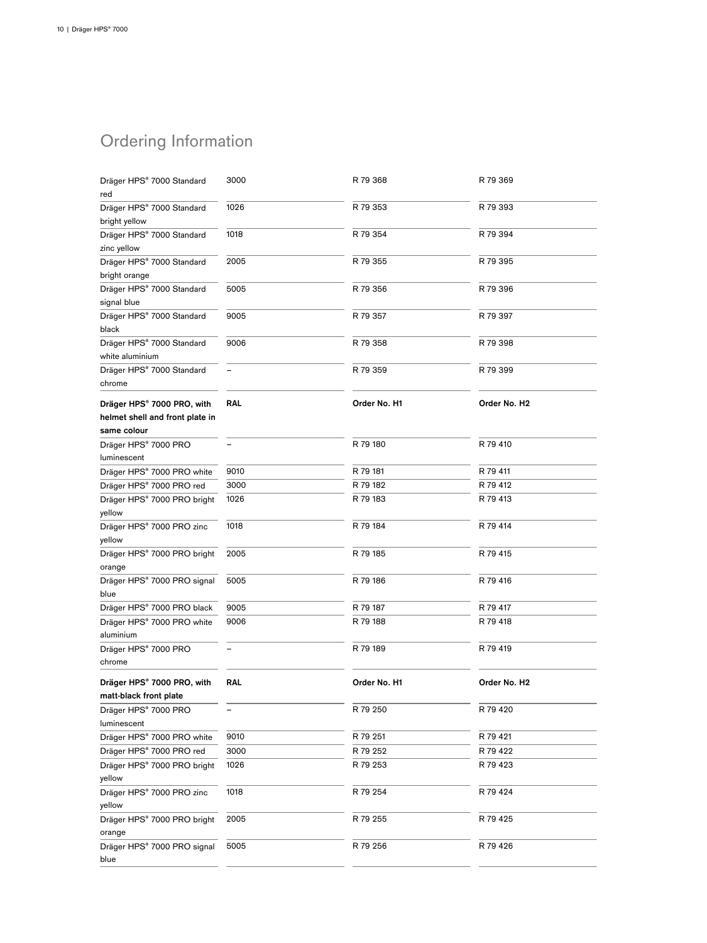# Ordering Information

| Dräger HPS® 7000 Standard<br>red                                             | 3000       | R 79 368     | R 79 369     |
|------------------------------------------------------------------------------|------------|--------------|--------------|
| Dräger HPS® 7000 Standard<br>bright yellow                                   | 1026       | R 79 353     | R 79 393     |
| Dräger HPS® 7000 Standard<br>zinc yellow                                     | 1018       | R 79 354     | R 79 394     |
| Dräger HPS® 7000 Standard<br>bright orange                                   | 2005       | R 79 355     | R 79 395     |
| Dräger HPS® 7000 Standard<br>signal blue                                     | 5005       | R 79 356     | R 79 396     |
| Dräger HPS® 7000 Standard<br>black                                           | 9005       | R 79 357     | R 79 397     |
| Dräger HPS® 7000 Standard<br>white aluminium                                 | 9006       | R 79 358     | R 79 398     |
| Dräger HPS® 7000 Standard<br>chrome                                          |            | R 79 359     | R 79 399     |
| Dräger HPS® 7000 PRO, with<br>helmet shell and front plate in<br>same colour | <b>RAL</b> | Order No. H1 | Order No. H2 |
| Dräger HPS® 7000 PRO<br>luminescent                                          | -          | R 79 180     | R 79 410     |
| Dräger HPS® 7000 PRO white                                                   | 9010       | R 79 181     | R 79 411     |
| Dräger HPS® 7000 PRO red                                                     | 3000       | R 79 182     | R 79 412     |
| Dräger HPS® 7000 PRO bright<br>yellow                                        | 1026       | R 79 183     | R 79 413     |
| Dräger HPS® 7000 PRO zinc<br>yellow                                          | 1018       | R 79 184     | R 79 414     |
| Dräger HPS® 7000 PRO bright<br>orange                                        | 2005       | R 79 185     | R 79 415     |
| Dräger HPS® 7000 PRO signal<br>blue                                          | 5005       | R 79 186     | R 79 416     |
| Dräger HPS® 7000 PRO black                                                   | 9005       | R 79 187     | R 79 417     |
| Dräger HPS® 7000 PRO white<br>aluminium                                      | 9006       | R 79 188     | R 79 418     |
| Dräger HPS® 7000 PRO<br>chrome                                               |            | R 79 189     | R 79 419     |
| Dräger HPS® 7000 PRO, with<br>matt-black front plate                         | <b>RAL</b> | Order No. H1 | Order No. H2 |
| Dräger HPS® 7000 PRO<br>luminescent                                          |            | R 79 250     | R 79 420     |
| Dräger HPS® 7000 PRO white                                                   | 9010       | R 79 251     | R 79 421     |
| Dräger HPS® 7000 PRO red                                                     | 3000       | R 79 252     | R 79 422     |
| Dräger HPS® 7000 PRO bright<br>yellow                                        | 1026       | R 79 253     | R 79 423     |
| Dräger HPS® 7000 PRO zinc<br>yellow                                          | 1018       | R 79 254     | R 79 424     |
| Dräger HPS® 7000 PRO bright<br>orange                                        | 2005       | R 79 255     | R 79 425     |
| Dräger HPS® 7000 PRO signal<br>blue                                          | 5005       | R 79 256     | R 79 426     |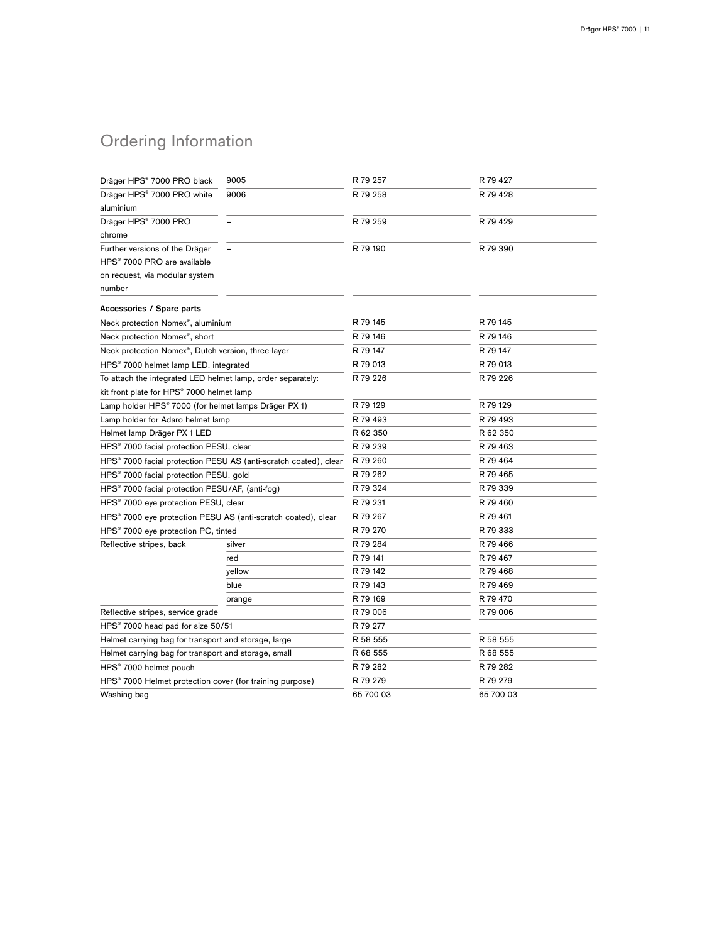# Ordering Information

| Dräger HPS® 7000 PRO black                                           | 9005   | R 79 257  | R 79 427  |
|----------------------------------------------------------------------|--------|-----------|-----------|
| Dräger HPS® 7000 PRO white                                           | 9006   | R 79 258  | R 79 428  |
| aluminium                                                            |        |           |           |
| Dräger HPS® 7000 PRO                                                 |        | R 79 259  | R 79 429  |
| chrome                                                               |        |           |           |
| Further versions of the Dräger                                       |        | R 79 190  | R 79 390  |
| HPS® 7000 PRO are available                                          |        |           |           |
| on request, via modular system                                       |        |           |           |
| number                                                               |        |           |           |
| <b>Accessories / Spare parts</b>                                     |        |           |           |
| Neck protection Nomex®, aluminium                                    |        | R 79 145  | R 79 145  |
| Neck protection Nomex®, short                                        |        | R 79 146  | R 79 146  |
| Neck protection Nomex®, Dutch version, three-layer                   |        | R 79 147  | R 79 147  |
| HPS <sup>®</sup> 7000 helmet lamp LED, integrated                    |        | R 79 013  | R 79 013  |
| To attach the integrated LED helmet lamp, order separately:          |        | R 79 226  | R 79 226  |
| kit front plate for HPS® 7000 helmet lamp                            |        |           |           |
| Lamp holder HPS® 7000 (for helmet lamps Dräger PX 1)                 |        | R 79 129  | R 79 129  |
| Lamp holder for Adaro helmet lamp                                    |        | R 79 493  | R 79 493  |
| Helmet lamp Dräger PX 1 LED                                          |        | R 62 350  | R 62 350  |
| HPS® 7000 facial protection PESU, clear                              |        | R 79 239  | R 79 463  |
| HPS® 7000 facial protection PESU AS (anti-scratch coated), clear     |        | R 79 260  | R 79 464  |
| HPS <sup>®</sup> 7000 facial protection PESU, gold                   |        | R 79 262  | R 79 465  |
| HPS <sup>®</sup> 7000 facial protection PESU/AF, (anti-fog)          |        | R 79 324  | R 79 339  |
| HPS® 7000 eye protection PESU, clear                                 |        | R 79 231  | R 79 460  |
| HPS® 7000 eye protection PESU AS (anti-scratch coated), clear        |        | R 79 267  | R 79 461  |
| HPS® 7000 eye protection PC, tinted                                  |        | R 79 270  | R 79 333  |
| Reflective stripes, back                                             | silver | R 79 284  | R 79 466  |
|                                                                      | red    | R 79 141  | R 79 467  |
|                                                                      | yellow | R 79 142  | R 79 468  |
|                                                                      | blue   | R 79 143  | R 79 469  |
|                                                                      | orange | R 79 169  | R 79 470  |
| Reflective stripes, service grade                                    |        | R 79 006  | R 79 006  |
| HPS <sup>®</sup> 7000 head pad for size 50/51                        |        | R 79 277  |           |
| Helmet carrying bag for transport and storage, large                 |        | R 58 555  | R 58 555  |
| Helmet carrying bag for transport and storage, small                 |        | R 68 555  | R 68 555  |
| HPS <sup>®</sup> 7000 helmet pouch                                   |        | R 79 282  | R 79 282  |
| HPS <sup>®</sup> 7000 Helmet protection cover (for training purpose) |        | R 79 279  | R 79 279  |
| Washing bag                                                          |        | 65 700 03 | 65 700 03 |